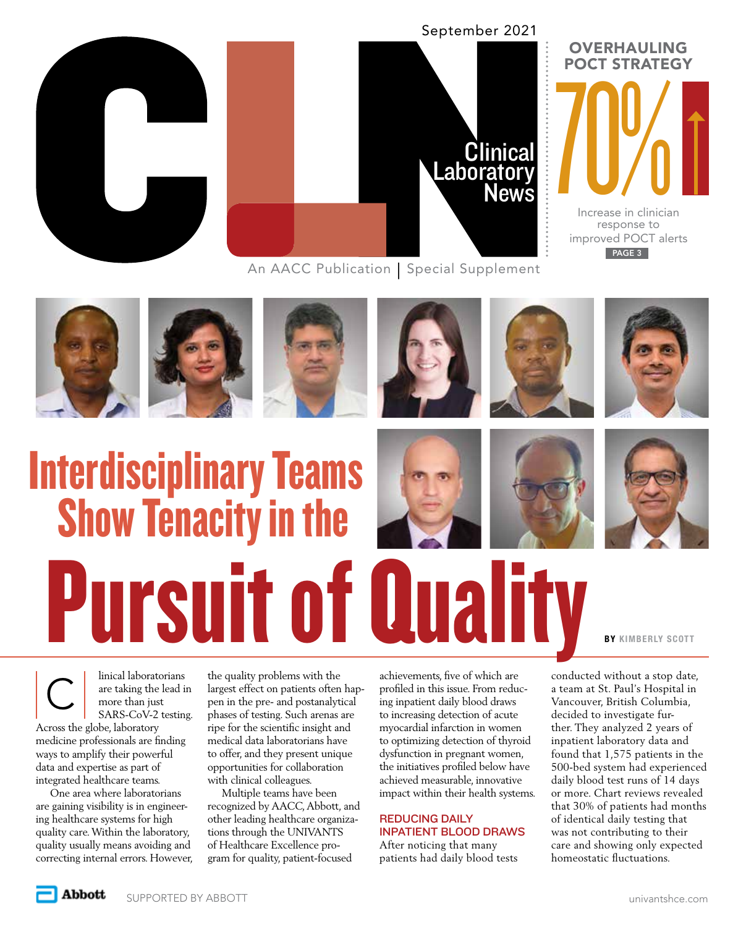



An AACC Publication | Special Supplement



PAGE 3









Interdisciplinary Teams Show Tenacity in the Pursuit of Qualit







**BY KIMBERLY SCOTT** 

linical laboratorians<br>
are taking the lead in<br>
more than just<br>
SARS-CoV-2 testing are taking the lead in more than just SARS-CoV-2 testing. Across the globe, laboratory

medicine professionals are finding ways to amplify their powerful data and expertise as part of integrated healthcare teams.

One area where laboratorians are gaining visibility is in engineering healthcare systems for high quality care. Within the laboratory, quality usually means avoiding and correcting internal errors. However, the quality problems with the largest effect on patients often happen in the pre- and postanalytical phases of testing. Such arenas are ripe for the scientific insight and medical data laboratorians have to offer, and they present unique opportunities for collaboration with clinical colleagues.

Multiple teams have been recognized by AACC, Abbott, and other leading healthcare organizations through the UNIVANTS of Healthcare Excellence program for quality, patient-focused

achievements, five of which are profiled in this issue. From reducing inpatient daily blood draws to increasing detection of acute myocardial infarction in women to optimizing detection of thyroid dysfunction in pregnant women, the initiatives profiled below have achieved measurable, innovative impact within their health systems.

## REDUCING DAILY INPATIENT BLOOD DRAWS

After noticing that many patients had daily blood tests conducted without a stop date, a team at St. Paul's Hospital in Vancouver, British Columbia, decided to investigate further. They analyzed 2 years of inpatient laboratory data and found that 1,575 patients in the 500-bed system had experienced daily blood test runs of 14 days or more. Chart reviews revealed that 30% of patients had months of identical daily testing that was not contributing to their care and showing only expected homeostatic fluctuations.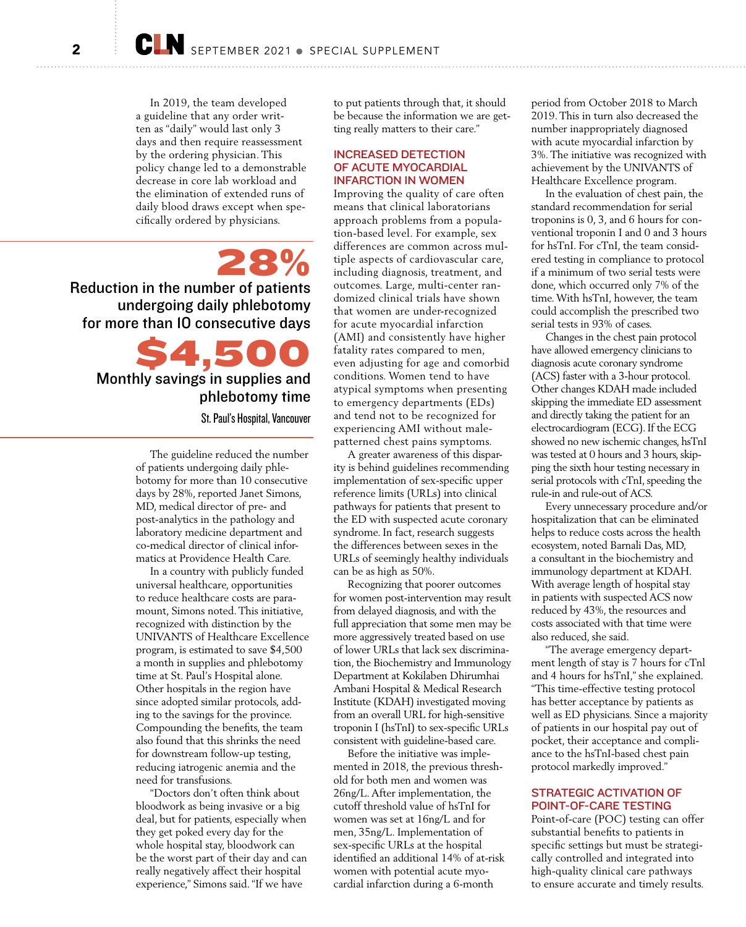In 2019, the team developed a guideline that any order written as "daily" would last only 3 days and then require reassessment by the ordering physician. This policy change led to a demonstrable decrease in core lab workload and the elimination of extended runs of daily blood draws except when specifically ordered by physicians.

28% Reduction in the number of patients undergoing daily phlebotomy for more than 10 consecutive days

> \$4,500 Monthly savings in supplies and phlebotomy time

> > St. Paul's Hospital, Vancouver

The guideline reduced the number of patients undergoing daily phlebotomy for more than 10 consecutive days by 28%, reported Janet Simons, MD, medical director of pre- and post-analytics in the pathology and laboratory medicine department and co-medical director of clinical informatics at Providence Health Care.

In a country with publicly funded universal healthcare, opportunities to reduce healthcare costs are paramount, Simons noted. This initiative, recognized with distinction by the UNIVANTS of Healthcare Excellence program, is estimated to save \$4,500 a month in supplies and phlebotomy time at St. Paul's Hospital alone. Other hospitals in the region have since adopted similar protocols, adding to the savings for the province. Compounding the benefits, the team also found that this shrinks the need for downstream follow-up testing, reducing iatrogenic anemia and the need for transfusions.

"Doctors don't often think about bloodwork as being invasive or a big deal, but for patients, especially when they get poked every day for the whole hospital stay, bloodwork can be the worst part of their day and can really negatively affect their hospital experience," Simons said. "If we have

to put patients through that, it should be because the information we are getting really matters to their care."

#### INCREASED DETECTION OF ACUTE MYOCARDIAL INFARCTION IN WOMEN

Improving the quality of care often means that clinical laboratorians approach problems from a population-based level. For example, sex differences are common across multiple aspects of cardiovascular care, including diagnosis, treatment, and outcomes. Large, multi-center randomized clinical trials have shown that women are under-recognized for acute myocardial infarction (AMI) and consistently have higher fatality rates compared to men, even adjusting for age and comorbid conditions. Women tend to have atypical symptoms when presenting to emergency departments (EDs) and tend not to be recognized for experiencing AMI without malepatterned chest pains symptoms.

A greater awareness of this disparity is behind guidelines recommending implementation of sex-specific upper reference limits (URLs) into clinical pathways for patients that present to the ED with suspected acute coronary syndrome. In fact, research suggests the differences between sexes in the URLs of seemingly healthy individuals can be as high as 50%.

Recognizing that poorer outcomes for women post-intervention may result from delayed diagnosis, and with the full appreciation that some men may be more aggressively treated based on use of lower URLs that lack sex discrimination, the Biochemistry and Immunology Department at Kokilaben Dhirumhai Ambani Hospital & Medical Research Institute (KDAH) investigated moving from an overall URL for high-sensitive troponin I (hsTnI) to sex-specific URLs consistent with guideline-based care.

Before the initiative was implemented in 2018, the previous threshold for both men and women was 26ng/L. After implementation, the cutoff threshold value of hsTnI for women was set at 16ng/L and for men, 35ng/L. Implementation of sex-specific URLs at the hospital identified an additional 14% of at-risk women with potential acute myocardial infarction during a 6-month

period from October 2018 to March 2019. This in turn also decreased the number inappropriately diagnosed with acute myocardial infarction by 3%. The initiative was recognized with achievement by the UNIVANTS of Healthcare Excellence program.

In the evaluation of chest pain, the standard recommendation for serial troponins is 0, 3, and 6 hours for conventional troponin I and 0 and 3 hours for hsTnI. For cTnI, the team considered testing in compliance to protocol if a minimum of two serial tests were done, which occurred only 7% of the time. With hsTnI, however, the team could accomplish the prescribed two serial tests in 93% of cases.

Changes in the chest pain protocol have allowed emergency clinicians to diagnosis acute coronary syndrome (ACS) faster with a 3-hour protocol. Other changes KDAH made included skipping the immediate ED assessment and directly taking the patient for an electrocardiogram (ECG). If the ECG showed no new ischemic changes, hsTnI was tested at 0 hours and 3 hours, skipping the sixth hour testing necessary in serial protocols with cTnI, speeding the rule-in and rule-out of ACS.

Every unnecessary procedure and/or hospitalization that can be eliminated helps to reduce costs across the health ecosystem, noted Barnali Das, MD, a consultant in the biochemistry and immunology department at KDAH. With average length of hospital stay in patients with suspected ACS now reduced by 43%, the resources and costs associated with that time were also reduced, she said.

"The average emergency department length of stay is 7 hours for cTnl and 4 hours for hsTnI," she explained. "This time-effective testing protocol has better acceptance by patients as well as ED physicians. Since a majority of patients in our hospital pay out of pocket, their acceptance and compliance to the hsTnI-based chest pain protocol markedly improved."

### STRATEGIC ACTIVATION OF POINT-OF-CARE TESTING

Point-of-care (POC) testing can offer substantial benefits to patients in specific settings but must be strategically controlled and integrated into high-quality clinical care pathways to ensure accurate and timely results.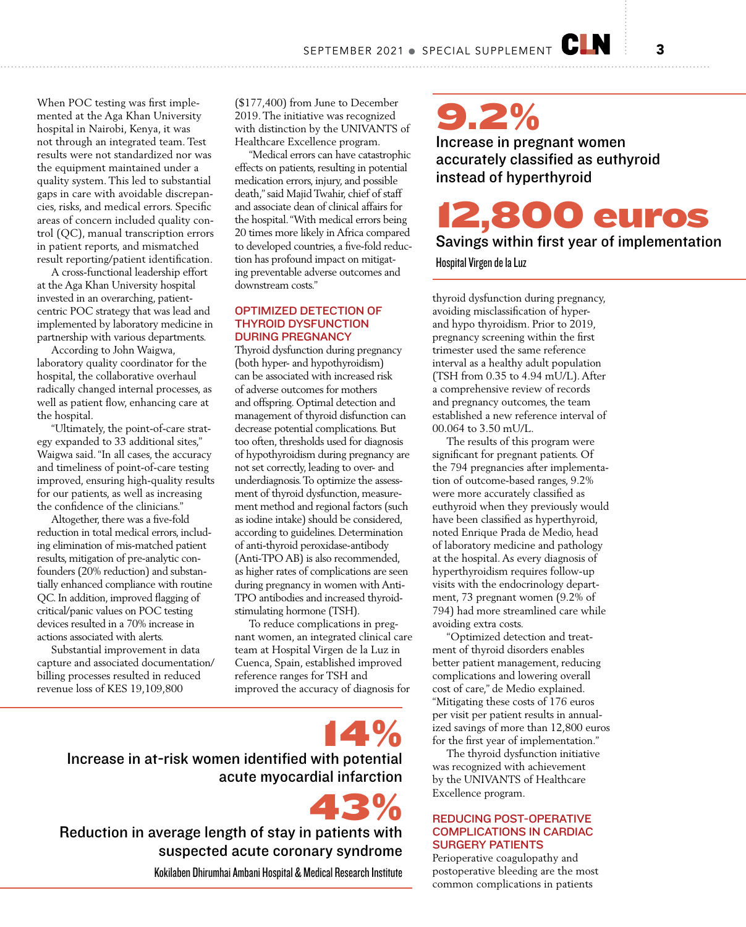When POC testing was first implemented at the Aga Khan University hospital in Nairobi, Kenya, it was not through an integrated team. Test results were not standardized nor was the equipment maintained under a quality system. This led to substantial gaps in care with avoidable discrepancies, risks, and medical errors. Specific areas of concern included quality control (QC), manual transcription errors in patient reports, and mismatched result reporting/patient identification.

A cross-functional leadership effort at the Aga Khan University hospital invested in an overarching, patientcentric POC strategy that was lead and implemented by laboratory medicine in partnership with various departments.

According to John Waigwa, laboratory quality coordinator for the hospital, the collaborative overhaul radically changed internal processes, as well as patient flow, enhancing care at the hospital.

"Ultimately, the point-of-care strategy expanded to 33 additional sites," Waigwa said. "In all cases, the accuracy and timeliness of point-of-care testing improved, ensuring high-quality results for our patients, as well as increasing the confidence of the clinicians."

Altogether, there was a five-fold reduction in total medical errors, including elimination of mis-matched patient results, mitigation of pre-analytic confounders (20% reduction) and substantially enhanced compliance with routine QC. In addition, improved flagging of critical/panic values on POC testing devices resulted in a 70% increase in actions associated with alerts.

Substantial improvement in data capture and associated documentation/ billing processes resulted in reduced revenue loss of KES 19,109,800

(\$177,400) from June to December 2019. The initiative was recognized with distinction by the UNIVANTS of Healthcare Excellence program.

"Medical errors can have catastrophic effects on patients, resulting in potential medication errors, injury, and possible death," said Majid Twahir, chief of staff and associate dean of clinical affairs for the hospital. "With medical errors being 20 times more likely in Africa compared to developed countries, a five-fold reduction has profound impact on mitigating preventable adverse outcomes and downstream costs."

#### OPTIMIZED DETECTION OF THYROID DYSFUNCTION DURING PREGNANCY

Thyroid dysfunction during pregnancy (both hyper- and hypothyroidism) can be associated with increased risk of adverse outcomes for mothers and offspring. Optimal detection and management of thyroid disfunction can decrease potential complications. But too often, thresholds used for diagnosis of hypothyroidism during pregnancy are not set correctly, leading to over- and underdiagnosis. To optimize the assessment of thyroid dysfunction, measurement method and regional factors (such as iodine intake) should be considered, according to guidelines. Determination of anti-thyroid peroxidase-antibody (Anti-TPO AB) is also recommended, as higher rates of complications are seen during pregnancy in women with Anti-TPO antibodies and increased thyroidstimulating hormone (TSH).

To reduce complications in pregnant women, an integrated clinical care team at Hospital Virgen de la Luz in Cuenca, Spain, established improved reference ranges for TSH and improved the accuracy of diagnosis for

43%

14% Increase in at-risk women identified with potential acute myocardial infarction

Reduction in average length of stay in patients with suspected acute coronary syndrome

Kokilaben Dhirumhai Ambani Hospital & Medical Research Institute

9.2% Increase in pregnant women accurately classified as euthyroid

instead of hyperthyroid

12,800 euros

Savings within first year of implementation

Hospital Virgen de la Luz

thyroid dysfunction during pregnancy, avoiding misclassification of hyperand hypo thyroidism. Prior to 2019, pregnancy screening within the first trimester used the same reference interval as a healthy adult population (TSH from 0.35 to 4.94 mU/L). After a comprehensive review of records and pregnancy outcomes, the team established a new reference interval of 00.064 to 3.50 mU/L.

The results of this program were significant for pregnant patients. Of the 794 pregnancies after implementation of outcome-based ranges, 9.2% were more accurately classified as euthyroid when they previously would have been classified as hyperthyroid, noted Enrique Prada de Medio, head of laboratory medicine and pathology at the hospital. As every diagnosis of hyperthyroidism requires follow-up visits with the endocrinology department, 73 pregnant women (9.2% of 794) had more streamlined care while avoiding extra costs.

"Optimized detection and treatment of thyroid disorders enables better patient management, reducing complications and lowering overall cost of care," de Medio explained. "Mitigating these costs of 176 euros per visit per patient results in annualized savings of more than 12,800 euros for the first year of implementation."

The thyroid dysfunction initiative was recognized with achievement by the UNIVANTS of Healthcare Excellence program.

### REDUCING POST-OPERATIVE COMPLICATIONS IN CARDIAC SURGERY PATIENTS

Perioperative coagulopathy and postoperative bleeding are the most common complications in patients